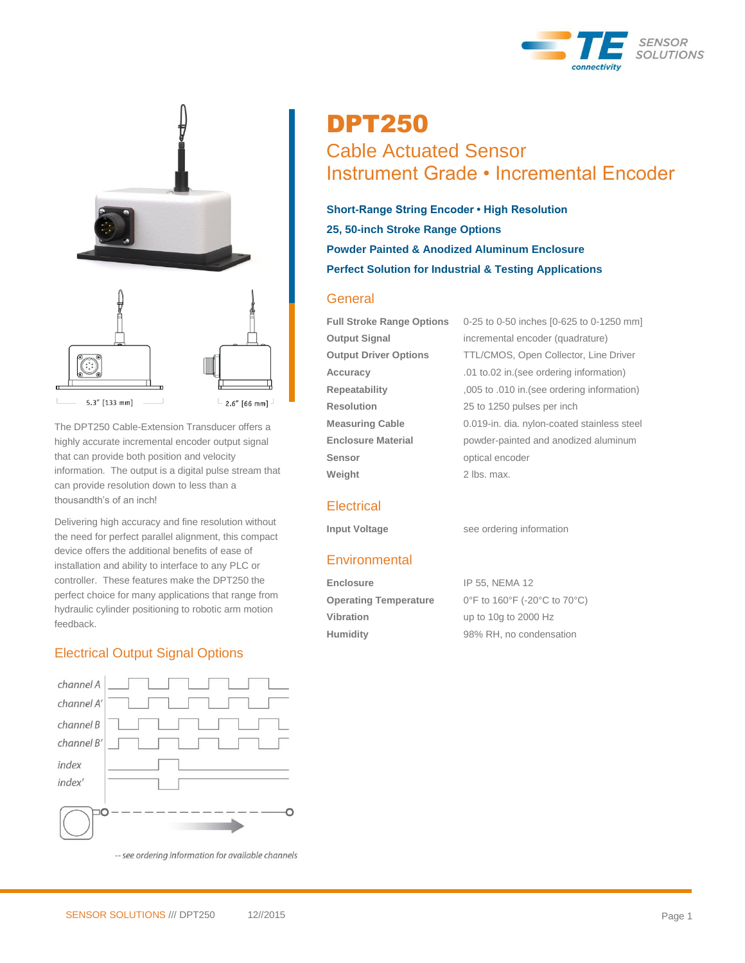



The DPT250 Cable-Extension Transducer offers a highly accurate incremental encoder output signal that can provide both position and velocity information. The output is a digital pulse stream that can provide resolution down to less than a thousandth's of an inch!

Delivering high accuracy and fine resolution without the need for perfect parallel alignment, this compact device offers the additional benefits of ease of installation and ability to interface to any PLC or controller. These features make the DPT250 the perfect choice for many applications that range from hydraulic cylinder positioning to robotic arm motion feedback.

## Electrical Output Signal Options



-- see ordering information for available channels

# DPT250 Cable Actuated Sensor Instrument Grade • Incremental Encoder

**Short-Range String Encoder • High Resolution 25, 50-inch Stroke Range Options Powder Painted & Anodized Aluminum Enclosure Perfect Solution for Industrial & Testing Applications**

## **General**

**Resolution** 25 to 1250 pulses per inch **Sensor** optical encoder **Weight** 2 lbs. max.

**Full Stroke Range Options** 0-25 to 0-50 inches [0-625 to 0-1250 mm] **Output Signal** incremental encoder (quadrature) **Output Driver Options** TTL/CMOS, Open Collector, Line Driver **Accuracy** .01 to.02 in.(see ordering information) **Repeatability** ,005 to .010 in.(see ordering information) **Measuring Cable** 0.019-in. dia. nylon-coated stainless steel **Enclosure Material** powder-painted and anodized aluminum

### **Electrical**

**Input Voltage** see ordering information

### **Environmental**

Enclosure **IP 55, NEMA 12 Operating Temperature** 0°F to 160°F (-20°C to 70°C) **Vibration** up to 10g to 2000 Hz **Humidity** 98% RH, no condensation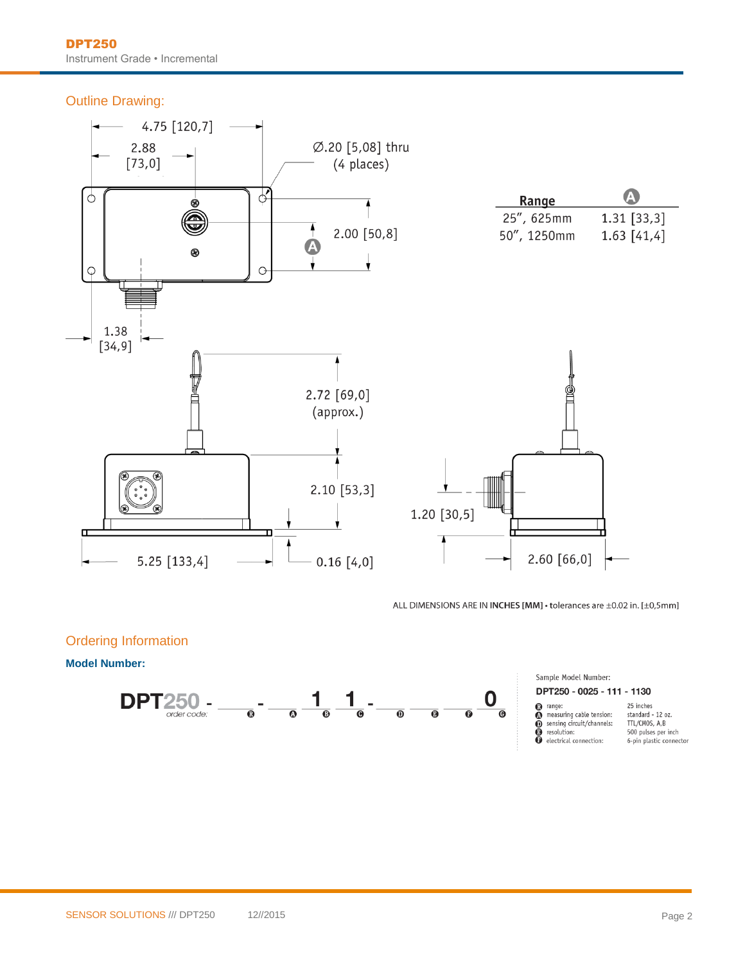Outline Drawing:



ALL DIMENSIONS ARE IN INCHES [MM] · tolerances are ±0.02 in. [±0,5mm]

#### Ordering Information

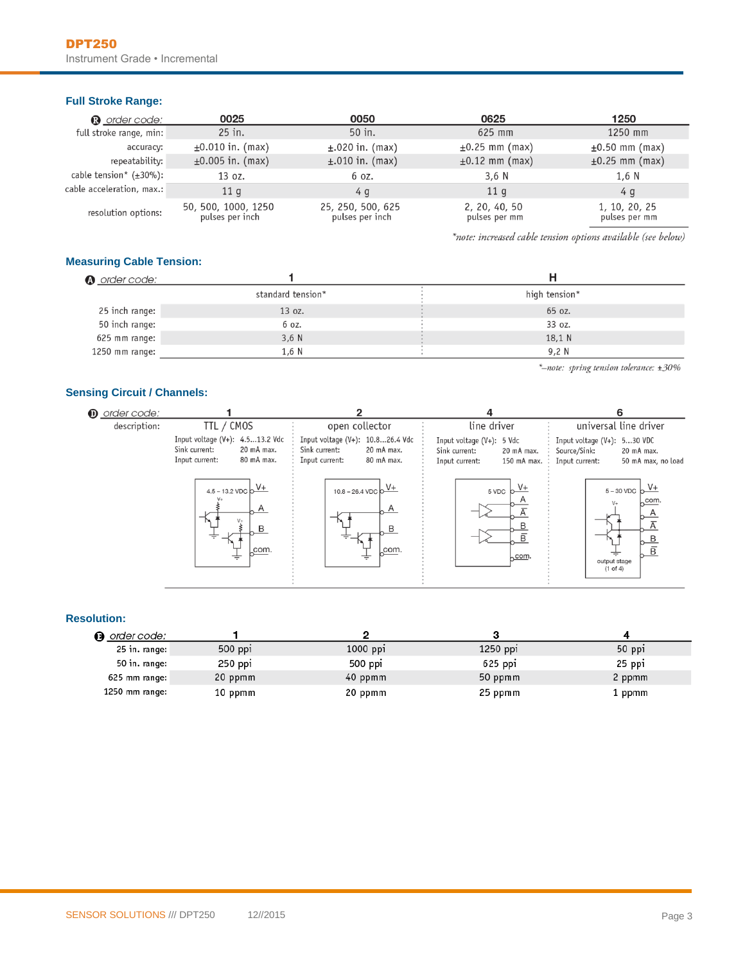#### **Full Stroke Range:**

| <b>a</b> order code:          | 0025                                   | 0050                                 | 0625                           | 1250                           |
|-------------------------------|----------------------------------------|--------------------------------------|--------------------------------|--------------------------------|
| full stroke range, min:       | $25$ in.                               | 50 in.                               | 625 mm                         | 1250 mm                        |
| accuracy:                     | $\pm 0.010$ in. (max)                  | $\pm$ .020 in. (max)                 | $\pm 0.25$ mm (max)            | $\pm 0.50$ mm (max)            |
| repeatability:                | $\pm 0.005$ in. (max)                  | $\pm$ .010 in. (max)                 | $\pm 0.12$ mm (max)            | $\pm 0.25$ mm (max)            |
| cable tension* $(\pm 30\%)$ : | 13 oz.                                 | 6 oz.                                | 3.6 <sub>N</sub>               | 1.6 N                          |
| cable acceleration, max.:     | 11 <sub>q</sub>                        | 4 g                                  | 11q                            | 4 g                            |
| resolution options:           | 50, 500, 1000, 1250<br>pulses per inch | 25, 250, 500, 625<br>pulses per inch | 2, 20, 40, 50<br>pulses per mm | 1, 10, 20, 25<br>pulses per mm |

\*note: increased cable tension options available (see below)

#### **Measuring Cable Tension:**

| <b>A</b> order code: |                   |  |               |
|----------------------|-------------------|--|---------------|
|                      | standard tension* |  | high tension* |
| 25 inch range:       | 13 oz.            |  | 65 oz.        |
| 50 inch range:       | 6 oz.             |  | 33 oz.        |
| 625 mm range:        | $3,6$ N           |  | 18,1 N        |
| 1250 mm range:       | 1,6 N             |  | 9,2 N         |

\*-note: spring tension tolerance: ±30%

#### **Sensing Circuit / Channels:**

| <b>D</b> order code: |                                                                                                                                                                   |                                                                                                                              | 4                                                                                                             |                                                                                                                                                 |
|----------------------|-------------------------------------------------------------------------------------------------------------------------------------------------------------------|------------------------------------------------------------------------------------------------------------------------------|---------------------------------------------------------------------------------------------------------------|-------------------------------------------------------------------------------------------------------------------------------------------------|
| description:         | TTL / CMOS                                                                                                                                                        | open collector                                                                                                               | line driver                                                                                                   | universal line driver                                                                                                                           |
|                      | Input voltage $(V+)$ : 4.513.2 Vdc<br>Sink current:<br>20 mA max.<br>Input current:<br>80 mA max.<br>$4.5 - 13.2 \text{ VDC} \text{ b} \frac{\text{V+}}{\text{}}$ | Input voltage (V+): 10.826.4 Vdc<br>Sink current:<br>20 mA max.<br>80 mA max.<br>Input current:<br>$10.8 - 26.4 \text{ VDC}$ | Input voltage $(V+)$ : 5 Vdc<br>Sink current:<br>20 mA max.<br>Input current:<br>150 mA max. :<br>$5 VDC$ $b$ | Input voltage $(V+)$ : 530 VDC<br>Source/Sink:<br>20 mA max.<br>50 mA max, no load<br>Input current:<br>$5 - 30$ VDC $b \frac{V+}{V+1}$<br>com. |
|                      | com.                                                                                                                                                              | A<br>R<br>com.                                                                                                               | B<br>B<br>com.                                                                                                | B<br>$\overline{B}$<br>output stage<br>$(1 \text{ of } 4)$                                                                                      |

#### **Resolution:**

| n order code:   |           |          |            |        |
|-----------------|-----------|----------|------------|--------|
| 25 in. range:   | $500$ ppi | 1000 ppi | $1250$ ppi | 50 ppi |
| 50 in. range:   | 250 ppi   | 500 ppi  | 625 ppi    | 25 ppi |
| 625 mm range: 7 | 20 ppmm   | 40 ppmm  | 50 ppmm    | 2 ppmm |
| 1250 mm range:  | 10 ppmm   | 20 ppmm  | 25 ppmm    | 1 ppmm |